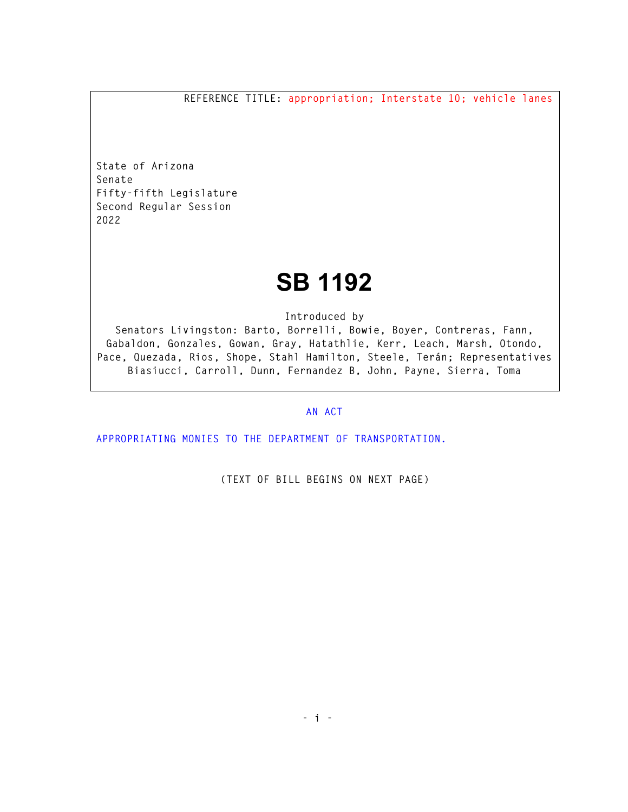**REFERENCE TITLE: appropriation; Interstate 10; vehicle lanes** 

**State of Arizona Senate Fifty-fifth Legislature Second Regular Session 2022** 

## **SB 1192**

**Introduced by** 

**Senators Livingston: Barto, Borrelli, Bowie, Boyer, Contreras, Fann, Gabaldon, Gonzales, Gowan, Gray, Hatathlie, Kerr, Leach, Marsh, Otondo, Pace, Quezada, Rios, Shope, Stahl Hamilton, Steele, Terán; Representatives Biasiucci, Carroll, Dunn, Fernandez B, John, Payne, Sierra, Toma** 

## **AN ACT**

**APPROPRIATING MONIES TO THE DEPARTMENT OF TRANSPORTATION.** 

**(TEXT OF BILL BEGINS ON NEXT PAGE)**